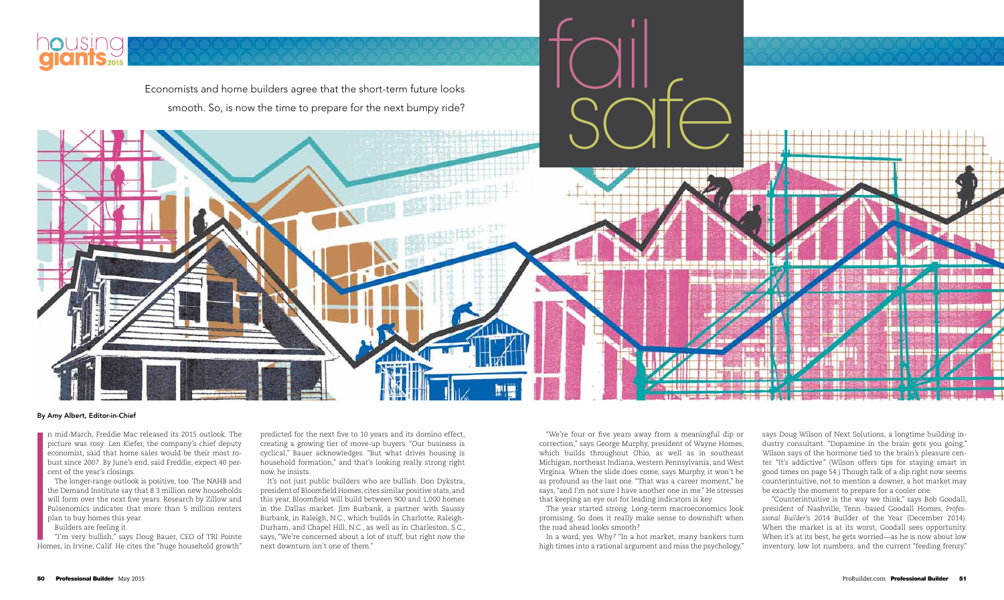n mid-March, Freddie Mac released its 2015 outlook. The picture was rosy: Len Kiefer, the company's chief deputy economist, said that home sales would be their most robust since 2007. By June's end, said Freddie, expect 40 percent of the year's closings.

The longer-range outlook is positive, too. The NAHB and the Demand Institute say that 8.3 million new households will form over the next five years. Research by Zillow and Pulsenomics indicates that more than 5 million renters plan to buy homes this year.

Builders are feeling it.

"I'm very bullish," says Doug Bauer, CEO of TRI Pointe Homes, in Irvine, Calif. He cites the "huge household growth"

predicted for the next five to 10 years and its domino effect, creating a growing tier of move-up buyers. "Our business is cyclical," Bauer acknowledges. "But what drives housing is household formation," and that's looking really strong right now, he insists.

It's not just public builders who are bullish. Don Dykstra, president of Bloomfield Homes, cites similar positive stats, and this year, Bloomfield will build between 900 and 1,000 homes in the Dallas market. Jim Burbank, a partner with Saussy Burbank, in Raleigh, N.C., which builds in Charlotte, Raleigh-Durham, and Chapel Hill, N.C., as well as in Charleston, S.C., says, "We're concerned about a lot of stuff, but right now the next downturn isn't one of them."

#### By Amy Albert, Editor-in-Chief



smooth. So, is now the time to prepare for the next bumpy ride?

"We're four or five years away from a meaningful dip or correction," says George Murphy, president of Wayne Homes, which builds throughout Ohio, as well as in southeast Michigan, northeast Indiana, western Pennsylvania, and West Virginia. When the slide does come, says Murphy, it won't be as profound as the last one. "That was a career moment," he says, "and I'm not sure I have another one in me." He stresses that keeping an eye out for leading indicators is key.

The year started strong. Long-term macroeconomics look promising. So does it really make sense to downshift when the road ahead looks smooth?

In a word, yes. Why? "In a hot market, many bankers turn high times into a rational argument and miss the psychology,"



says Doug Wilson of Next Solutions, a longtime building industry consultant. "Dopamine in the brain gets you going," Wilson says of the hormone tied to the brain's pleasure center. "It's addictive." (Wilson offers tips for staying smart in good times on page 54.) Though talk of a dip right now seems counterintuitive, not to mention a downer, a hot market may be exactly the moment to prepare for a cooler one.

 "Counterintuitive is the way we think," says Bob Goodall, president of Nashville, Tenn.-based Goodall Homes, *Professional Builder*'s 2014 Builder of the Year (December 2014). When the market is at its worst, Goodall sees opportunity. When it's at its best, he gets worried—as he is now about low inventory, low lot numbers, and the current "feeding frenzy."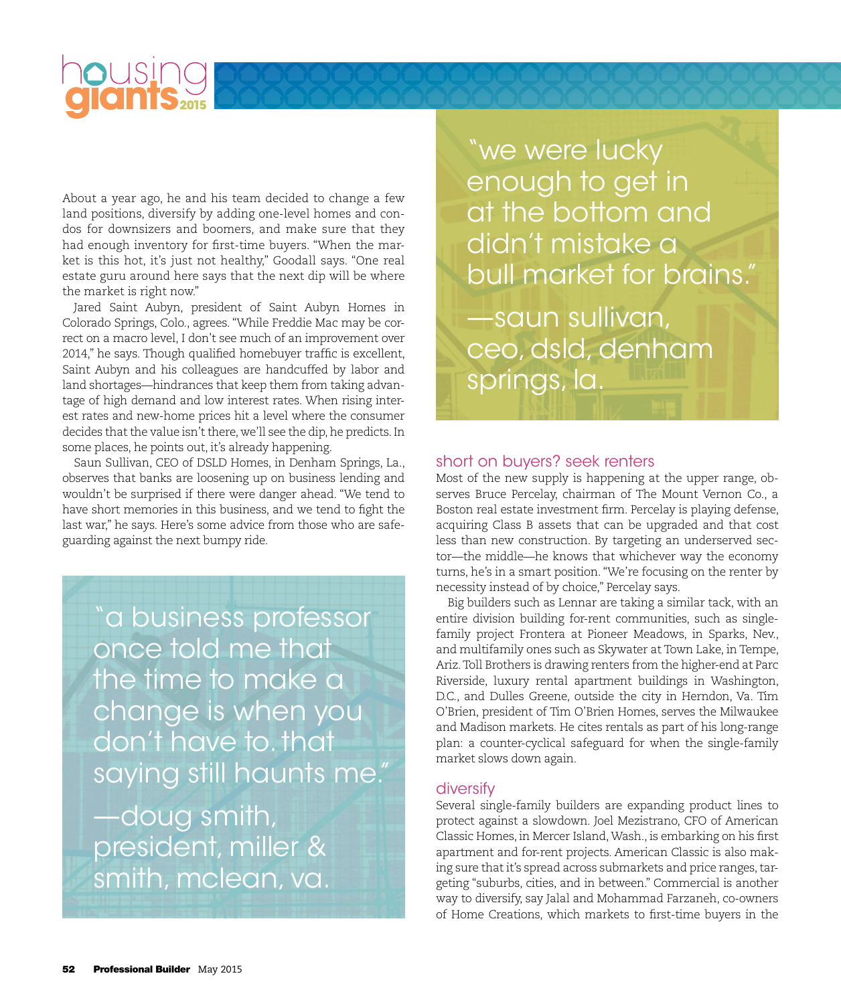# **OUSing**

About a year ago, he and his team decided to change a few land positions, diversify by adding one-level homes and condos for downsizers and boomers, and make sure that they had enough inventory for first-time buyers. "When the market is this hot, it's just not healthy," Goodall says. "One real estate guru around here says that the next dip will be where the market is right now."

Jared Saint Aubyn, president of Saint Aubyn Homes in Colorado Springs, Colo., agrees. "While Freddie Mac may be correct on a macro level, I don't see much of an improvement over 2014," he says. Though qualified homebuyer traffic is excellent, Saint Aubyn and his colleagues are handcuffed by labor and land shortages—hindrances that keep them from taking advantage of high demand and low interest rates. When rising interest rates and new-home prices hit a level where the consumer decides that the value isn't there, we'll see the dip, he predicts. In some places, he points out, it's already happening.

Saun Sullivan, CEO of DSLD Homes, in Denham Springs, La., observes that banks are loosening up on business lending and wouldn't be surprised if there were danger ahead. "We tend to have short memories in this business, and we tend to fight the last war," he says. Here's some advice from those who are safeguarding against the next bumpy ride.

"a business professor once told me that the time to make a change is when you don't have to. that saying still haunts me."

—doug smith, president, miller & smith, mclean, va. "we were lucky enough to get in at the bottom and didn't mistake a bull market for brains."

—saun sullivan, ceo, dsld, denham springs, la.

#### short on buyers? seek renters

Most of the new supply is happening at the upper range, observes Bruce Percelay, chairman of The Mount Vernon Co., a Boston real estate investment firm. Percelay is playing defense, acquiring Class B assets that can be upgraded and that cost less than new construction. By targeting an underserved sector—the middle—he knows that whichever way the economy turns, he's in a smart position. "We're focusing on the renter by necessity instead of by choice," Percelay says.

Big builders such as Lennar are taking a similar tack, with an entire division building for-rent communities, such as singlefamily project Frontera at Pioneer Meadows, in Sparks, Nev., and multifamily ones such as Skywater at Town Lake, in Tempe, Ariz. Toll Brothers is drawing renters from the higher-end at Parc Riverside, luxury rental apartment buildings in Washington, D.C., and Dulles Greene, outside the city in Herndon, Va. Tim O'Brien, president of Tim O'Brien Homes, serves the Milwaukee and Madison markets. He cites rentals as part of his long-range plan: a counter-cyclical safeguard for when the single-family market slows down again.

#### diversify

Several single-family builders are expanding product lines to protect against a slowdown. Joel Mezistrano, CFO of American Classic Homes, in Mercer Island, Wash., is embarking on his first apartment and for-rent projects. American Classic is also making sure that it's spread across submarkets and price ranges, targeting "suburbs, cities, and in between." Commercial is another way to diversify, say Jalal and Mohammad Farzaneh, co-owners of Home Creations, which markets to first-time buyers in the